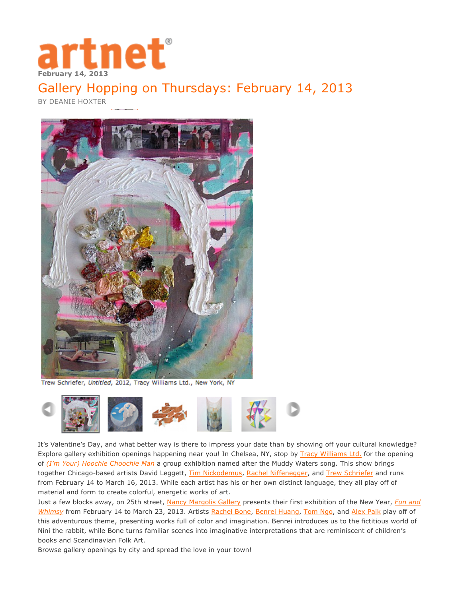

## [Gallery Hopping on Thursdays: February 14, 2013](http://www.artnet.com/insights/art-market-trends/gallery-hopping-on-thursdays-february-14-2013.asp#.UR6H2lrioi4)

BY DEANIE HOXTER



Trew Schriefer, Untitled, 2012, Tracy Williams Ltd., New York, NY



It's Valentine's Day, and what better way is there to impress your date than by showing off your cultural knowledge? Explore gallery exhibition openings happening near you! In Chelsea, NY, stop by Tracy Williams Ltd. for the opening of *(I'm Your) Hoochie Choochie Man* a group exhibition named after the Muddy Waters song. This show brings together Chicago-based artists David Leggett, Tim Nickodemus, Rachel Niffenegger, and Trew Schriefer and runs from February 14 to March 16, 2013. While each artist has his or her own distinct language, they all play off of material and form to create colorful, energetic works of art.

Just a few blocks away, on 25th street, Nancy Margolis Gallery presents their first exhibition of the New Year, *Fun and Whimsy* from February 14 to March 23, 2013. Artists Rachel Bone, Benrei Huang, Tom Ngo, and Alex Paik play off of this adventurous theme, presenting works full of color and imagination. Benrei introduces us to the fictitious world of Nini the rabbit, while Bone turns familiar scenes into imaginative interpretations that are reminiscent of children's books and Scandinavian Folk Art.

Browse gallery openings by city and spread the love in your town!